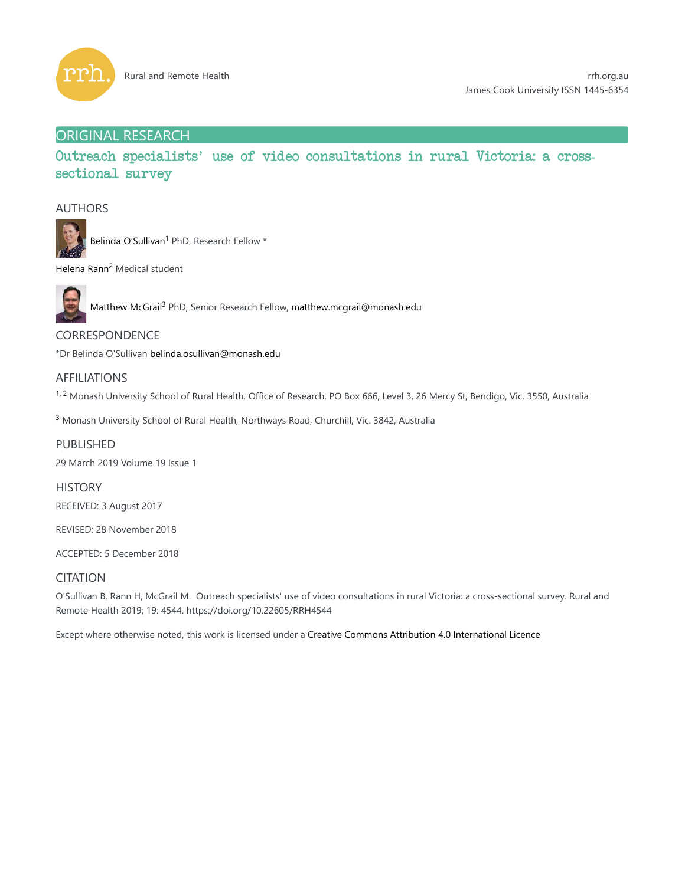

# ORIGINAL RESEARCH

Outreach specialists' use of video consultations in rural Victoria: a crosssectional survey

# AUTHORS



Belinda O'Sullivan<sup>1</sup> PhD, Research Fellow \*

Helena Rann<sup>2</sup> Medical student



Matthew McGrail<sup>3</sup> PhD, Senior Research Fellow, matthew.mcgrail@monash.edu

CORRESPONDENCE

\*Dr Belinda O'Sullivan belinda.osullivan@monash.edu

# AFFILIATIONS

<sup>1, 2</sup> Monash University School of Rural Health, Office of Research, PO Box 666, Level 3, 26 Mercy St, Bendigo, Vic. 3550, Australia

<sup>3</sup> Monash University School of Rural Health, Northways Road, Churchill, Vic. 3842, Australia

PUBLISHED 29 March 2019 Volume 19 Issue 1

**HISTORY** RECEIVED: 3 August 2017

REVISED: 28 November 2018

ACCEPTED: 5 December 2018

# **CITATION**

O'Sullivan B, Rann H, McGrail M. Outreach specialists' use of video consultations in rural Victoria: a cross-sectional survey. Rural and Remote Health 2019; 19: 4544. https://doi.org/10.22605/RRH4544

Except where otherwise noted, this work is licensed under a Creative Commons Attribution 4.0 International Licence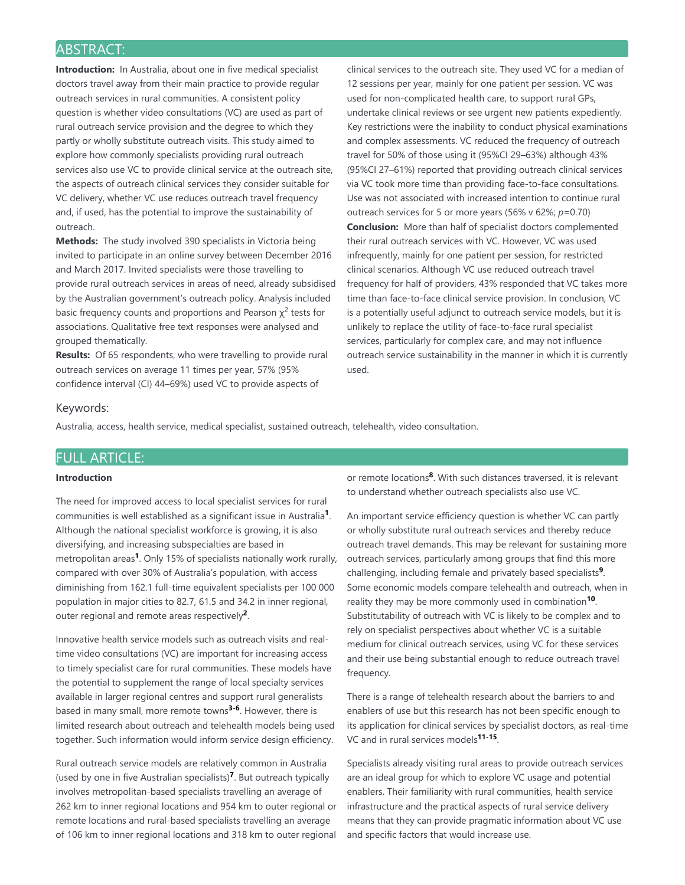# ABSTRACT:

**Introduction:** In Australia, about one in five medical specialist doctors travel away from their main practice to provide regular outreach services in rural communities. A consistent policy question is whether video consultations (VC) are used as part of rural outreach service provision and the degree to which they partly or wholly substitute outreach visits. This study aimed to explore how commonly specialists providing rural outreach services also use VC to provide clinical service at the outreach site, the aspects of outreach clinical services they consider suitable for VC delivery, whether VC use reduces outreach travel frequency and, if used, has the potential to improve the sustainability of outreach.

**Methods:** The study involved 390 specialists in Victoria being invited to participate in an online survey between December 2016 and March 2017. Invited specialists were those travelling to provide rural outreach services in areas of need, already subsidised by the Australian government's outreach policy. Analysis included basic frequency counts and proportions and Pearson  $\chi^2$  tests for associations. Qualitative free text responses were analysed and grouped thematically.

**Results:** Of 65 respondents, who were travelling to provide rural outreach services on average 11 times per year, 57% (95% confidence interval (CI) 44–69%) used VC to provide aspects of

clinical services to the outreach site. They used VC for a median of 12 sessions per year, mainly for one patient per session. VC was used for non-complicated health care, to support rural GPs, undertake clinical reviews or see urgent new patients expediently. Key restrictions were the inability to conduct physical examinations and complex assessments. VC reduced the frequency of outreach travel for 50% of those using it (95%CI 29–63%) although 43% (95%CI 27–61%) reported that providing outreach clinical services via VC took more time than providing face-to-face consultations. Use was not associated with increased intention to continue rural outreach services for 5 or more years (56% v 62%; *p*=0.70) **Conclusion:** More than half of specialist doctors complemented their rural outreach services with VC. However, VC was used infrequently, mainly for one patient per session, for restricted clinical scenarios. Although VC use reduced outreach travel frequency for half of providers, 43% responded that VC takes more time than face-to-face clinical service provision. In conclusion, VC is a potentially useful adjunct to outreach service models, but it is unlikely to replace the utility of face-to-face rural specialist services, particularly for complex care, and may not influence outreach service sustainability in the manner in which it is currently used.

### Keywords:

Australia, access, health service, medical specialist, sustained outreach, telehealth, video consultation.

# FULL ARTICLE:

### **Introduction**

The need for improved access to local specialist services for rural communities is well established as a significant issue in Australia<sup>1</sup>. Although the national specialist workforce is growing, it is also diversifying, and increasing subspecialties are based in metropolitan areas<sup>1</sup>. Only 15% of specialists nationally work rurally, compared with over 30% of Australia's population, with access diminishing from 162.1 full-time equivalent specialists per 100 000 population in major cities to 82.7, 61.5 and 34.2 in inner regional, outer regional and remote areas respectively<sup>2</sup>.

Innovative health service models such as outreach visits and realtime video consultations (VC) are important for increasing access to timely specialist care for rural communities. These models have the potential to supplement the range of local specialty services available in larger regional centres and support rural generalists based in many small, more remote towns<sup>3-6</sup>. However, there is limited research about outreach and telehealth models being used together. Such information would inform service design efficiency.

Rural outreach service models are relatively common in Australia (used by one in five Australian specialists)<sup>7</sup>. But outreach typically involves metropolitan-based specialists travelling an average of 262 km to inner regional locations and 954 km to outer regional or remote locations and rural-based specialists travelling an average of 106 km to inner regional locations and 318 km to outer regional

or remote locations<sup>8</sup>. With such distances traversed, it is relevant to understand whether outreach specialists also use VC.

An important service efficiency question is whether VC can partly or wholly substitute rural outreach services and thereby reduce outreach travel demands. This may be relevant for sustaining more outreach services, particularly among groups that find this more challenging, including female and privately based specialists<sup>9</sup>. Some economic models compare telehealth and outreach, when in reality they may be more commonly used in combination<sup>10</sup>. Substitutability of outreach with VC is likely to be complex and to rely on specialist perspectives about whether VC is a suitable medium for clinical outreach services, using VC for these services and their use being substantial enough to reduce outreach travel frequency.

There is a range of telehealth research about the barriers to and enablers of use but this research has not been specific enough to its application for clinical services by specialist doctors, as real-time VC and in rural services models<sup>11-15</sup>.

Specialists already visiting rural areas to provide outreach services are an ideal group for which to explore VC usage and potential enablers. Their familiarity with rural communities, health service infrastructure and the practical aspects of rural service delivery means that they can provide pragmatic information about VC use and specific factors that would increase use.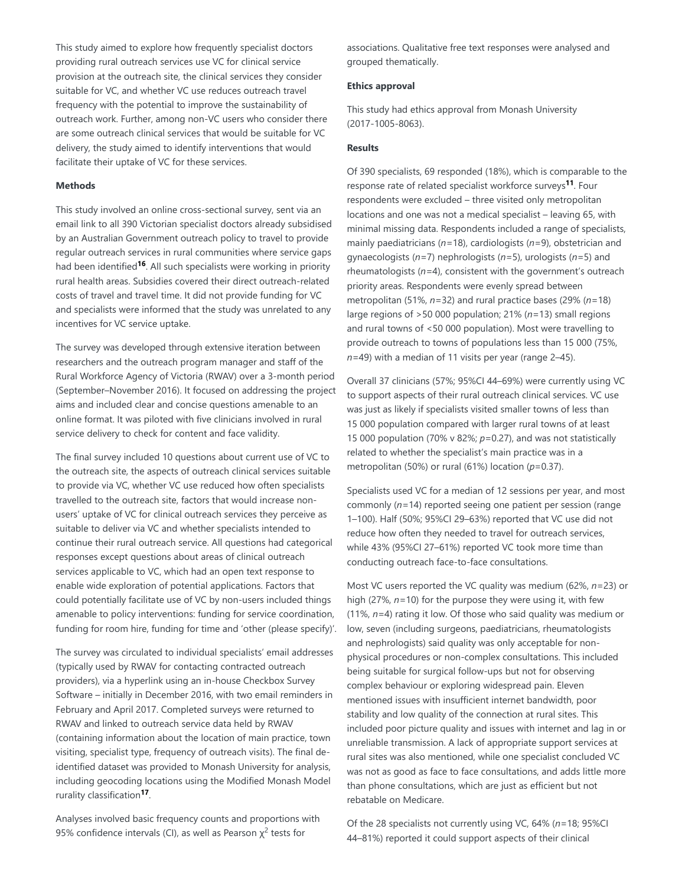This study aimed to explore how frequently specialist doctors providing rural outreach services use VC for clinical service provision at the outreach site, the clinical services they consider suitable for VC, and whether VC use reduces outreach travel frequency with the potential to improve the sustainability of outreach work. Further, among non-VC users who consider there are some outreach clinical services that would be suitable for VC delivery, the study aimed to identify interventions that would facilitate their uptake of VC for these services.

#### **Methods**

This study involved an online cross-sectional survey, sent via an email link to all 390 Victorian specialist doctors already subsidised by an Australian Government outreach policy to travel to provide regular outreach services in rural communities where service gaps had been identified<sup>16</sup>. All such specialists were working in priority rural health areas. Subsidies covered their direct outreach-related costs of travel and travel time. It did not provide funding for VC and specialists were informed that the study was unrelated to any incentives for VC service uptake.

The survey was developed through extensive iteration between researchers and the outreach program manager and staff of the Rural Workforce Agency of Victoria (RWAV) over a 3-month period (September–November 2016). It focused on addressing the project aims and included clear and concise questions amenable to an online format. It was piloted with five clinicians involved in rural service delivery to check for content and face validity.

The final survey included 10 questions about current use of VC to the outreach site, the aspects of outreach clinical services suitable to provide via VC, whether VC use reduced how often specialists travelled to the outreach site, factors that would increase nonusers' uptake of VC for clinical outreach services they perceive as suitable to deliver via VC and whether specialists intended to continue their rural outreach service. All questions had categorical responses except questions about areas of clinical outreach services applicable to VC, which had an open text response to enable wide exploration of potential applications. Factors that could potentially facilitate use of VC by non-users included things amenable to policy interventions: funding for service coordination, funding for room hire, funding for time and 'other (please specify)'.

The survey was circulated to individual specialists' email addresses (typically used by RWAV for contacting contracted outreach providers), via a hyperlink using an in-house Checkbox Survey Software *–* initially in December 2016, with two email reminders in February and April 2017. Completed surveys were returned to RWAV and linked to outreach service data held by RWAV (containing information about the location of main practice, town visiting, specialist type, frequency of outreach visits). The final deidentified dataset was provided to Monash University for analysis, including geocoding locations using the Modified Monash Model rurality classification<sup>17</sup>.

Analyses involved basic frequency counts and proportions with 95% confidence intervals (CI), as well as Pearson  $\chi^2$  tests for

associations. Qualitative free text responses were analysed and grouped thematically.

### **Ethics approval**

This study had ethics approval from Monash University (2017-1005-8063).

### **Results**

Of 390 specialists, 69 responded (18%), which is comparable to the response rate of related specialist workforce surveys<sup>11</sup>. Four respondents were excluded – three visited only metropolitan locations and one was not a medical specialist – leaving 65, with minimal missing data. Respondents included a range of specialists, mainly paediatricians (*n=*18), cardiologists (*n=*9), obstetrician and gynaecologists (*n=*7) nephrologists (*n=*5), urologists (*n=*5) and rheumatologists (*n=*4), consistent with the government's outreach priority areas. Respondents were evenly spread between metropolitan (51%, *n=*32) and rural practice bases (29% (*n=*18) large regions of >50 000 population; 21% (*n=*13) small regions and rural towns of <50 000 population). Most were travelling to provide outreach to towns of populations less than 15 000 (75%, *n=*49) with a median of 11 visits per year (range 2–45).

Overall 37 clinicians (57%; 95%CI 44–69%) were currently using VC to support aspects of their rural outreach clinical services. VC use was just as likely if specialists visited smaller towns of less than 15 000 population compared with larger rural towns of at least 15 000 population (70% v 82%; *p*=0.27), and was not statistically related to whether the specialist's main practice was in a metropolitan (50%) or rural (61%) location (*p*=0.37).

Specialists used VC for a median of 12 sessions per year, and most commonly (*n=*14) reported seeing one patient per session (range 1–100). Half (50%; 95%CI 29–63%) reported that VC use did not reduce how often they needed to travel for outreach services, while 43% (95%CI 27–61%) reported VC took more time than conducting outreach face-to-face consultations.

Most VC users reported the VC quality was medium (62%, *n=*23) or high (27%, *n=*10) for the purpose they were using it, with few (11%, *n=*4) rating it low. Of those who said quality was medium or low, seven (including surgeons, paediatricians, rheumatologists and nephrologists) said quality was only acceptable for nonphysical procedures or non-complex consultations. This included being suitable for surgical follow-ups but not for observing complex behaviour or exploring widespread pain. Eleven mentioned issues with insufficient internet bandwidth, poor stability and low quality of the connection at rural sites. This included poor picture quality and issues with internet and lag in or unreliable transmission. A lack of appropriate support services at rural sites was also mentioned, while one specialist concluded VC was not as good as face to face consultations, and adds little more than phone consultations, which are just as efficient but not rebatable on Medicare.

Of the 28 specialists not currently using VC, 64% (*n=*18; 95%CI 44–81%) reported it could support aspects of their clinical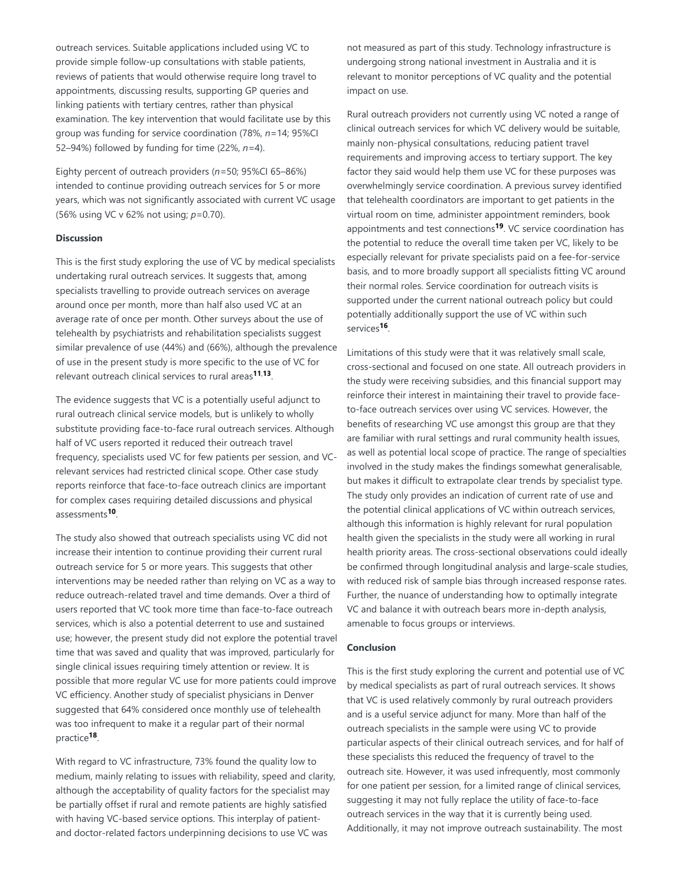outreach services. Suitable applications included using VC to provide simple follow-up consultations with stable patients, reviews of patients that would otherwise require long travel to appointments, discussing results, supporting GP queries and linking patients with tertiary centres, rather than physical examination. The key intervention that would facilitate use by this group was funding for service coordination (78%, *n=*14; 95%CI 52–94%) followed by funding for time (22%, *n=*4).

Eighty percent of outreach providers (*n=*50; 95%CI 65–86%) intended to continue providing outreach services for 5 or more years, which was not significantly associated with current VC usage (56% using VC v 62% not using; *p*=0.70).

#### **Discussion**

This is the first study exploring the use of VC by medical specialists undertaking rural outreach services. It suggests that, among specialists travelling to provide outreach services on average around once per month, more than half also used VC at an average rate of once per month. Other surveys about the use of telehealth by psychiatrists and rehabilitation specialists suggest similar prevalence of use (44%) and (66%), although the prevalence of use in the present study is more specific to the use of VC for relevant outreach clinical services to rural areas<sup>11,13</sup>.

The evidence suggests that VC is a potentially useful adjunct to rural outreach clinical service models, but is unlikely to wholly substitute providing face-to-face rural outreach services. Although half of VC users reported it reduced their outreach travel frequency, specialists used VC for few patients per session, and VCrelevant services had restricted clinical scope. Other case study reports reinforce that face-to-face outreach clinics are important for complex cases requiring detailed discussions and physical assessments<sup>10</sup>.

The study also showed that outreach specialists using VC did not increase their intention to continue providing their current rural outreach service for 5 or more years. This suggests that other interventions may be needed rather than relying on VC as a way to reduce outreach-related travel and time demands. Over a third of users reported that VC took more time than face-to-face outreach services, which is also a potential deterrent to use and sustained use; however, the present study did not explore the potential travel time that was saved and quality that was improved, particularly for single clinical issues requiring timely attention or review. It is possible that more regular VC use for more patients could improve VC efficiency. Another study of specialist physicians in Denver suggested that 64% considered once monthly use of telehealth was too infrequent to make it a regular part of their normal practice<sup>18</sup>.

With regard to VC infrastructure, 73% found the quality low to medium, mainly relating to issues with reliability, speed and clarity, although the acceptability of quality factors for the specialist may be partially offset if rural and remote patients are highly satisfied with having VC-based service options. This interplay of patientand doctor-related factors underpinning decisions to use VC was

not measured as part of this study. Technology infrastructure is undergoing strong national investment in Australia and it is relevant to monitor perceptions of VC quality and the potential impact on use.

Rural outreach providers not currently using VC noted a range of clinical outreach services for which VC delivery would be suitable, mainly non-physical consultations, reducing patient travel requirements and improving access to tertiary support. The key factor they said would help them use VC for these purposes was overwhelmingly service coordination. A previous survey identified that telehealth coordinators are important to get patients in the virtual room on time, administer appointment reminders, book appointments and test connections<sup>19</sup>. VC service coordination has the potential to reduce the overall time taken per VC, likely to be especially relevant for private specialists paid on a fee-for-service basis, and to more broadly support all specialists fitting VC around their normal roles. Service coordination for outreach visits is supported under the current national outreach policy but could potentially additionally support the use of VC within such services<sup>16</sup>.

Limitations of this study were that it was relatively small scale, cross-sectional and focused on one state. All outreach providers in the study were receiving subsidies, and this financial support may reinforce their interest in maintaining their travel to provide faceto-face outreach services over using VC services. However, the benefits of researching VC use amongst this group are that they are familiar with rural settings and rural community health issues, as well as potential local scope of practice. The range of specialties involved in the study makes the findings somewhat generalisable, but makes it difficult to extrapolate clear trends by specialist type. The study only provides an indication of current rate of use and the potential clinical applications of VC within outreach services, although this information is highly relevant for rural population health given the specialists in the study were all working in rural health priority areas. The cross-sectional observations could ideally be confirmed through longitudinal analysis and large-scale studies, with reduced risk of sample bias through increased response rates. Further, the nuance of understanding how to optimally integrate VC and balance it with outreach bears more in-depth analysis, amenable to focus groups or interviews.

#### **Conclusion**

This is the first study exploring the current and potential use of VC by medical specialists as part of rural outreach services. It shows that VC is used relatively commonly by rural outreach providers and is a useful service adjunct for many. More than half of the outreach specialists in the sample were using VC to provide particular aspects of their clinical outreach services, and for half of these specialists this reduced the frequency of travel to the outreach site. However, it was used infrequently, most commonly for one patient per session, for a limited range of clinical services, suggesting it may not fully replace the utility of face-to-face outreach services in the way that it is currently being used. Additionally, it may not improve outreach sustainability. The most